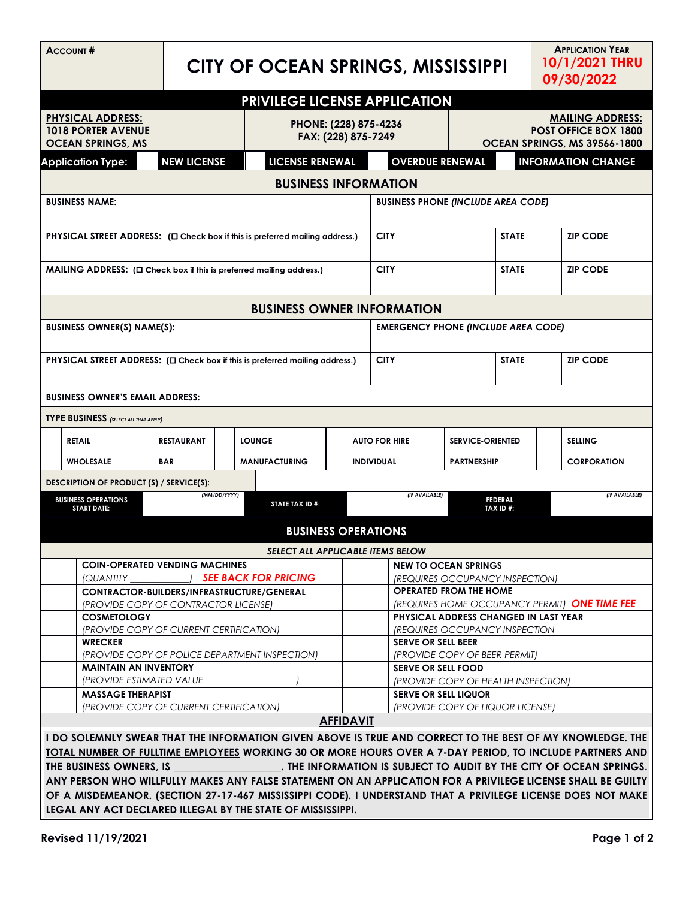| <b>ACCOUNT#</b>                                                                                                                                                                                                |                                                                                           |  |                                       | CITY OF OCEAN SPRINGS, MISSISSIPPI           |                                                                             |                                                                    |                                               |                                                                                        |                             |                                                     | <b>APPLICATION YEAR</b><br>10/1/2021 THRU<br>09/30/2022 |                |                    |  |
|----------------------------------------------------------------------------------------------------------------------------------------------------------------------------------------------------------------|-------------------------------------------------------------------------------------------|--|---------------------------------------|----------------------------------------------|-----------------------------------------------------------------------------|--------------------------------------------------------------------|-----------------------------------------------|----------------------------------------------------------------------------------------|-----------------------------|-----------------------------------------------------|---------------------------------------------------------|----------------|--------------------|--|
|                                                                                                                                                                                                                | <b>PRIVILEGE LICENSE APPLICATION</b>                                                      |  |                                       |                                              |                                                                             |                                                                    |                                               |                                                                                        |                             |                                                     |                                                         |                |                    |  |
| <b>PHYSICAL ADDRESS:</b><br><b>1018 PORTER AVENUE</b><br><b>OCEAN SPRINGS, MS</b>                                                                                                                              |                                                                                           |  |                                       | PHONE: (228) 875-4236<br>FAX: (228) 875-7249 |                                                                             |                                                                    |                                               | <b>MAILING ADDRESS:</b><br><b>POST OFFICE BOX 1800</b><br>OCEAN SPRINGS, MS 39566-1800 |                             |                                                     |                                                         |                |                    |  |
|                                                                                                                                                                                                                | <b>Application Type:</b>                                                                  |  | <b>NEW LICENSE</b>                    |                                              |                                                                             | <b>LICENSE RENEWAL</b>                                             |                                               |                                                                                        |                             | <b>OVERDUE RENEWAL</b><br><b>INFORMATION CHANGE</b> |                                                         |                |                    |  |
|                                                                                                                                                                                                                |                                                                                           |  |                                       |                                              |                                                                             |                                                                    | <b>BUSINESS INFORMATION</b>                   |                                                                                        |                             |                                                     |                                                         |                |                    |  |
| <b>BUSINESS NAME:</b>                                                                                                                                                                                          |                                                                                           |  |                                       |                                              |                                                                             |                                                                    | <b>BUSINESS PHONE (INCLUDE AREA CODE)</b>     |                                                                                        |                             |                                                     |                                                         |                |                    |  |
|                                                                                                                                                                                                                | <b>PHYSICAL STREET ADDRESS:</b> ( $\Box$ Check box if this is preferred mailing address.) |  |                                       |                                              |                                                                             |                                                                    |                                               | <b>CITY</b>                                                                            |                             |                                                     | <b>STATE</b>                                            |                | <b>ZIP CODE</b>    |  |
|                                                                                                                                                                                                                |                                                                                           |  |                                       |                                              | $MAILING$ ADDRESS: $(\Box$ Check box if this is preferred mailing address.) |                                                                    |                                               | <b>CITY</b>                                                                            |                             |                                                     | <b>STATE</b>                                            |                | <b>ZIP CODE</b>    |  |
|                                                                                                                                                                                                                | <b>BUSINESS OWNER INFORMATION</b>                                                         |  |                                       |                                              |                                                                             |                                                                    |                                               |                                                                                        |                             |                                                     |                                                         |                |                    |  |
|                                                                                                                                                                                                                | <b>BUSINESS OWNER(S) NAME(S):</b>                                                         |  |                                       |                                              |                                                                             |                                                                    |                                               | <b>EMERGENCY PHONE (INCLUDE AREA CODE)</b>                                             |                             |                                                     |                                                         |                |                    |  |
|                                                                                                                                                                                                                | PHYSICAL STREET ADDRESS: ( $\square$ Check box if this is preferred mailing address.)     |  |                                       |                                              |                                                                             |                                                                    |                                               | <b>CITY</b>                                                                            |                             |                                                     | <b>STATE</b>                                            |                | <b>ZIP CODE</b>    |  |
| <b>BUSINESS OWNER'S EMAIL ADDRESS:</b>                                                                                                                                                                         |                                                                                           |  |                                       |                                              |                                                                             |                                                                    |                                               |                                                                                        |                             |                                                     |                                                         |                |                    |  |
|                                                                                                                                                                                                                | <b>TYPE BUSINESS</b> (SELECT ALL THAT APPLY)                                              |  |                                       |                                              |                                                                             |                                                                    |                                               |                                                                                        |                             |                                                     |                                                         |                |                    |  |
|                                                                                                                                                                                                                | <b>RETAIL</b>                                                                             |  | <b>RESTAURANT</b>                     |                                              | <b>LOUNGE</b>                                                               |                                                                    |                                               | <b>AUTO FOR HIRE</b>                                                                   |                             | <b>SERVICE-ORIENTED</b>                             |                                                         | <b>SELLING</b> |                    |  |
|                                                                                                                                                                                                                | <b>WHOLESALE</b>                                                                          |  | BAR                                   |                                              | <b>MANUFACTURING</b>                                                        |                                                                    |                                               | <b>INDIVIDUAL</b>                                                                      | <b>PARTNERSHIP</b>          |                                                     |                                                         |                | <b>CORPORATION</b> |  |
|                                                                                                                                                                                                                | DESCRIPTION OF PRODUCT (S) / SERVICE(S):                                                  |  |                                       |                                              |                                                                             |                                                                    |                                               |                                                                                        |                             |                                                     |                                                         |                |                    |  |
| (MM/DD/YYYY)<br><b>BUSINESS OPERATIONS</b><br><b>START DATE:</b>                                                                                                                                               |                                                                                           |  | STATE TAX ID #:                       |                                              |                                                                             | (IF AVAILABLE)                                                     |                                               |                                                                                        | <b>FEDERAL</b><br>TAX ID #: | (IF AVAILABLE)                                      |                                                         |                |                    |  |
|                                                                                                                                                                                                                |                                                                                           |  |                                       |                                              | <b>BUSINESS OPERATIONS</b>                                                  |                                                                    |                                               |                                                                                        |                             |                                                     |                                                         |                |                    |  |
|                                                                                                                                                                                                                |                                                                                           |  |                                       |                                              | <b>SELECT ALL APPLICABLE ITEMS BELOW</b>                                    |                                                                    |                                               |                                                                                        |                             |                                                     |                                                         |                |                    |  |
|                                                                                                                                                                                                                |                                                                                           |  | <b>COIN-OPERATED VENDING MACHINES</b> |                                              |                                                                             |                                                                    |                                               | <b>NEW TO OCEAN SPRINGS</b>                                                            |                             |                                                     |                                                         |                |                    |  |
|                                                                                                                                                                                                                | (QUANTITY<br><b>SEE BACK FOR PRICING</b><br>CONTRACTOR-BUILDERS/INFRASTRUCTURE/GENERAL    |  |                                       |                                              |                                                                             |                                                                    |                                               | (REQUIRES OCCUPANCY INSPECTION)<br><b>OPERATED FROM THE HOME</b>                       |                             |                                                     |                                                         |                |                    |  |
| (PROVIDE COPY OF CONTRACTOR LICENSE)                                                                                                                                                                           |                                                                                           |  |                                       |                                              |                                                                             |                                                                    | (REQUIRES HOME OCCUPANCY PERMIT) ONE TIME FEE |                                                                                        |                             |                                                     |                                                         |                |                    |  |
| <b>COSMETOLOGY</b>                                                                                                                                                                                             |                                                                                           |  |                                       |                                              |                                                                             | PHYSICAL ADDRESS CHANGED IN LAST YEAR                              |                                               |                                                                                        |                             |                                                     |                                                         |                |                    |  |
| (PROVIDE COPY OF CURRENT CERTIFICATION)<br><b>WRECKER</b>                                                                                                                                                      |                                                                                           |  |                                       |                                              |                                                                             | <b>(REQUIRES OCCUPANCY INSPECTION</b><br><b>SERVE OR SELL BEER</b> |                                               |                                                                                        |                             |                                                     |                                                         |                |                    |  |
| (PROVIDE COPY OF POLICE DEPARTMENT INSPECTION)                                                                                                                                                                 |                                                                                           |  |                                       |                                              | (PROVIDE COPY OF BEER PERMIT)                                               |                                                                    |                                               |                                                                                        |                             |                                                     |                                                         |                |                    |  |
| <b>MAINTAIN AN INVENTORY</b>                                                                                                                                                                                   |                                                                                           |  |                                       |                                              | SERVE OR SELL FOOD                                                          |                                                                    |                                               |                                                                                        |                             |                                                     |                                                         |                |                    |  |
| (PROVIDE ESTIMATED VALUE<br><b>MASSAGE THERAPIST</b>                                                                                                                                                           |                                                                                           |  |                                       |                                              |                                                                             | (PROVIDE COPY OF HEALTH INSPECTION)<br><b>SERVE OR SELL LIQUOR</b> |                                               |                                                                                        |                             |                                                     |                                                         |                |                    |  |
| (PROVIDE COPY OF CURRENT CERTIFICATION)                                                                                                                                                                        |                                                                                           |  |                                       |                                              |                                                                             | (PROVIDE COPY OF LIQUOR LICENSE)                                   |                                               |                                                                                        |                             |                                                     |                                                         |                |                    |  |
| <b>AFFIDAVIT</b>                                                                                                                                                                                               |                                                                                           |  |                                       |                                              |                                                                             |                                                                    |                                               |                                                                                        |                             |                                                     |                                                         |                |                    |  |
| I DO SOLEMNLY SWEAR THAT THE INFORMATION GIVEN ABOVE IS TRUE AND CORRECT TO THE BEST OF MY KNOWLEDGE. THE                                                                                                      |                                                                                           |  |                                       |                                              |                                                                             |                                                                    |                                               |                                                                                        |                             |                                                     |                                                         |                |                    |  |
| TOTAL NUMBER OF FULLTIME EMPLOYEES WORKING 30 OR MORE HOURS OVER A 7-DAY PERIOD, TO INCLUDE PARTNERS AND                                                                                                       |                                                                                           |  |                                       |                                              |                                                                             |                                                                    |                                               |                                                                                        |                             |                                                     |                                                         |                |                    |  |
| . THE INFORMATION IS SUBJECT TO AUDIT BY THE CITY OF OCEAN SPRINGS.<br>THE BUSINESS OWNERS, IS<br>ANY PERSON WHO WILLFULLY MAKES ANY FALSE STATEMENT ON AN APPLICATION FOR A PRIVILEGE LICENSE SHALL BE GUILTY |                                                                                           |  |                                       |                                              |                                                                             |                                                                    |                                               |                                                                                        |                             |                                                     |                                                         |                |                    |  |
|                                                                                                                                                                                                                |                                                                                           |  |                                       |                                              |                                                                             |                                                                    |                                               |                                                                                        |                             |                                                     |                                                         |                |                    |  |
| OF A MISDEMEANOR. (SECTION 27-17-467 MISSISSIPPI CODE). I UNDERSTAND THAT A PRIVILEGE LICENSE DOES NOT MAKE<br>LEGAL ANY ACT DECLARED ILLEGAL BY THE STATE OF MISSISSIPPI.                                     |                                                                                           |  |                                       |                                              |                                                                             |                                                                    |                                               |                                                                                        |                             |                                                     |                                                         |                |                    |  |